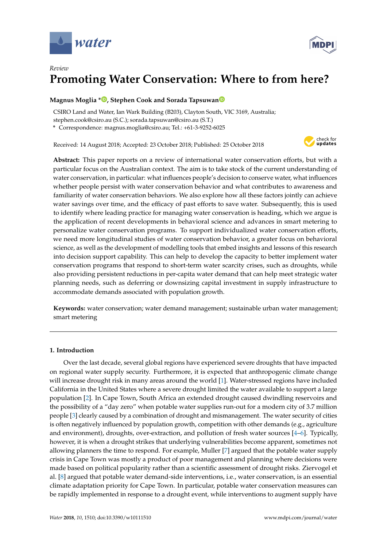



# *Review* **Promoting Water Conservation: Where to from here?**

# **Magnus Moglia \* [,](https://orcid.org/0000-0002-8290-610X) Stephen Cook and Sorada Tapsuwa[n](https://orcid.org/0000-0002-8160-3828)**

CSIRO Land and Water, Ian Wark Building (B203), Clayton South, VIC 3169, Australia; stephen.cook@csiro.au (S.C.); sorada.tapsuwan@csiro.au (S.T.)

**\*** Correspondence: magnus.moglia@csiro.au; Tel.: +61-3-9252-6025

Received: 14 August 2018; Accepted: 23 October 2018; Published: 25 October 2018



**Abstract:** This paper reports on a review of international water conservation efforts, but with a particular focus on the Australian context. The aim is to take stock of the current understanding of water conservation, in particular: what influences people's decision to conserve water, what influences whether people persist with water conservation behavior and what contributes to awareness and familiarity of water conservation behaviors. We also explore how all these factors jointly can achieve water savings over time, and the efficacy of past efforts to save water. Subsequently, this is used to identify where leading practice for managing water conservation is heading, which we argue is the application of recent developments in behavioral science and advances in smart metering to personalize water conservation programs. To support individualized water conservation efforts, we need more longitudinal studies of water conservation behavior, a greater focus on behavioral science, as well as the development of modelling tools that embed insights and lessons of this research into decision support capability. This can help to develop the capacity to better implement water conservation programs that respond to short-term water scarcity crises, such as droughts, while also providing persistent reductions in per-capita water demand that can help meet strategic water planning needs, such as deferring or downsizing capital investment in supply infrastructure to accommodate demands associated with population growth.

**Keywords:** water conservation; water demand management; sustainable urban water management; smart metering

### **1. Introduction**

Over the last decade, several global regions have experienced severe droughts that have impacted on regional water supply security. Furthermore, it is expected that anthropogenic climate change will increase drought risk in many areas around the world [\[1\]](#page-11-0). Water-stressed regions have included California in the United States where a severe drought limited the water available to support a large population [\[2\]](#page-11-1). In Cape Town, South Africa an extended drought caused dwindling reservoirs and the possibility of a "day zero" when potable water supplies run-out for a modern city of 3.7 million people [\[3\]](#page-11-2) clearly caused by a combination of drought and mismanagement. The water security of cities is often negatively influenced by population growth, competition with other demands (e.g., agriculture and environment), droughts, over-extraction, and pollution of fresh water sources [\[4](#page-11-3)[–6\]](#page-11-4). Typically, however, it is when a drought strikes that underlying vulnerabilities become apparent, sometimes not allowing planners the time to respond. For example, Muller [\[7\]](#page-11-5) argued that the potable water supply crisis in Cape Town was mostly a product of poor management and planning where decisions were made based on political popularity rather than a scientific assessment of drought risks. Ziervogel et al. [\[8\]](#page-11-6) argued that potable water demand-side interventions, i.e., water conservation, is an essential climate adaptation priority for Cape Town. In particular, potable water conservation measures can be rapidly implemented in response to a drought event, while interventions to augment supply have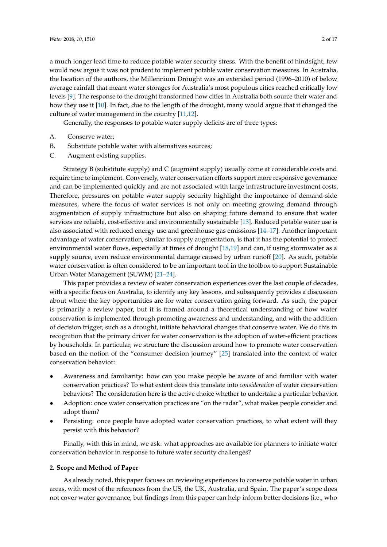a much longer lead time to reduce potable water security stress. With the benefit of hindsight, few would now argue it was not prudent to implement potable water conservation measures. In Australia, the location of the authors, the Millennium Drought was an extended period (1996–2010) of below average rainfall that meant water storages for Australia's most populous cities reached critically low levels [\[9\]](#page-11-7). The response to the drought transformed how cities in Australia both source their water and how they use it [\[10\]](#page-11-8). In fact, due to the length of the drought, many would argue that it changed the culture of water management in the country [\[11](#page-11-9)[,12\]](#page-12-0).

Generally, the responses to potable water supply deficits are of three types:

- A. Conserve water;
- B. Substitute potable water with alternatives sources;
- C. Augment existing supplies.

Strategy B (substitute supply) and C (augment supply) usually come at considerable costs and require time to implement. Conversely, water conservation efforts support more responsive governance and can be implemented quickly and are not associated with large infrastructure investment costs. Therefore, pressures on potable water supply security highlight the importance of demand-side measures, where the focus of water services is not only on meeting growing demand through augmentation of supply infrastructure but also on shaping future demand to ensure that water services are reliable, cost-effective and environmentally sustainable [\[13\]](#page-12-1). Reduced potable water use is also associated with reduced energy use and greenhouse gas emissions [\[14–](#page-12-2)[17\]](#page-12-3). Another important advantage of water conservation, similar to supply augmentation, is that it has the potential to protect environmental water flows, especially at times of drought [\[18](#page-12-4)[,19\]](#page-12-5) and can, if using stormwater as a supply source, even reduce environmental damage caused by urban runoff [\[20\]](#page-12-6). As such, potable water conservation is often considered to be an important tool in the toolbox to support Sustainable Urban Water Management (SUWM) [\[21–](#page-12-7)[24\]](#page-12-8).

This paper provides a review of water conservation experiences over the last couple of decades, with a specific focus on Australia, to identify any key lessons, and subsequently provides a discussion about where the key opportunities are for water conservation going forward. As such, the paper is primarily a review paper, but it is framed around a theoretical understanding of how water conservation is implemented through promoting awareness and understanding, and with the addition of decision trigger, such as a drought, initiate behavioral changes that conserve water. We do this in recognition that the primary driver for water conservation is the adoption of water-efficient practices by households. In particular, we structure the discussion around how to promote water conservation based on the notion of the "consumer decision journey" [\[25\]](#page-12-9) translated into the context of water conservation behavior:

- Awareness and familiarity: how can you make people be aware of and familiar with water conservation practices? To what extent does this translate into *consideration* of water conservation behaviors? The consideration here is the active choice whether to undertake a particular behavior.
- Adoption: once water conservation practices are "on the radar", what makes people consider and adopt them?
- Persisting: once people have adopted water conservation practices, to what extent will they persist with this behavior?

Finally, with this in mind, we ask: what approaches are available for planners to initiate water conservation behavior in response to future water security challenges?

#### **2. Scope and Method of Paper**

As already noted, this paper focuses on reviewing experiences to conserve potable water in urban areas, with most of the references from the US, the UK, Australia, and Spain. The paper's scope does not cover water governance, but findings from this paper can help inform better decisions (i.e., who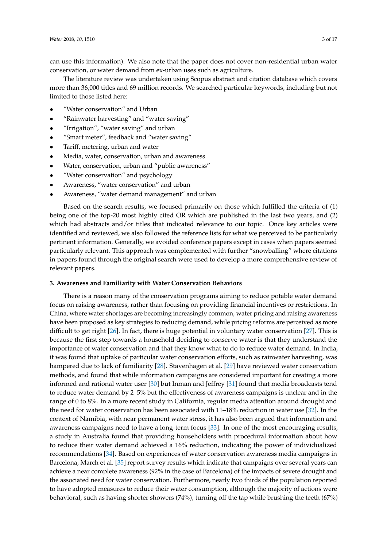can use this information). We also note that the paper does not cover non-residential urban water conservation, or water demand from ex-urban uses such as agriculture.

The literature review was undertaken using Scopus abstract and citation database which covers more than 36,000 titles and 69 million records. We searched particular keywords, including but not limited to those listed here:

- "Water conservation" and Urban
- "Rainwater harvesting" and "water saving"
- "Irrigation", "water saving" and urban
- "Smart meter", feedback and "water saving"
- Tariff, metering, urban and water
- Media, water, conservation, urban and awareness
- Water, conservation, urban and "public awareness"
- "Water conservation" and psychology
- Awareness, "water conservation" and urban
- Awareness, "water demand management" and urban

Based on the search results, we focused primarily on those which fulfilled the criteria of (1) being one of the top-20 most highly cited OR which are published in the last two years, and (2) which had abstracts and/or titles that indicated relevance to our topic. Once key articles were identified and reviewed, we also followed the reference lists for what we perceived to be particularly pertinent information. Generally, we avoided conference papers except in cases when papers seemed particularly relevant. This approach was complemented with further "snowballing" where citations in papers found through the original search were used to develop a more comprehensive review of relevant papers.

#### **3. Awareness and Familiarity with Water Conservation Behaviors**

There is a reason many of the conservation programs aiming to reduce potable water demand focus on raising awareness, rather than focusing on providing financial incentives or restrictions. In China, where water shortages are becoming increasingly common, water pricing and raising awareness have been proposed as key strategies to reducing demand, while pricing reforms are perceived as more difficult to get right [\[26\]](#page-12-10). In fact, there is huge potential in voluntary water conservation [\[27\]](#page-12-11). This is because the first step towards a household deciding to conserve water is that they understand the importance of water conservation and that they know what to do to reduce water demand. In India, it was found that uptake of particular water conservation efforts, such as rainwater harvesting, was hampered due to lack of familiarity [\[28\]](#page-12-12). Stavenhagen et al. [\[29\]](#page-12-13) have reviewed water conservation methods, and found that while information campaigns are considered important for creating a more informed and rational water user [\[30\]](#page-12-14) but Inman and Jeffrey [\[31\]](#page-12-15) found that media broadcasts tend to reduce water demand by 2–5% but the effectiveness of awareness campaigns is unclear and in the range of 0 to 8%. In a more recent study in California, regular media attention around drought and the need for water conservation has been associated with 11–18% reduction in water use [\[32\]](#page-12-16). In the context of Namibia, with near permanent water stress, it has also been argued that information and awareness campaigns need to have a long-term focus [\[33\]](#page-12-17). In one of the most encouraging results, a study in Australia found that providing householders with procedural information about how to reduce their water demand achieved a 16% reduction, indicating the power of individualized recommendations [\[34\]](#page-12-18). Based on experiences of water conservation awareness media campaigns in Barcelona, March et al. [\[35\]](#page-12-19) report survey results which indicate that campaigns over several years can achieve a near complete awareness (92% in the case of Barcelona) of the impacts of severe drought and the associated need for water conservation. Furthermore, nearly two thirds of the population reported to have adopted measures to reduce their water consumption, although the majority of actions were behavioral, such as having shorter showers (74%), turning off the tap while brushing the teeth (67%)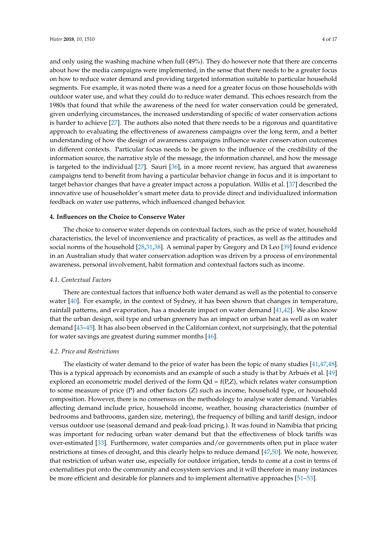and only using the washing machine when full (49%). They do however note that there are concerns about how the media campaigns were implemented, in the sense that there needs to be a greater focus on how to reduce water demand and providing targeted information suitable to particular household segments. For example, it was noted there was a need for a greater focus on those households with outdoor water use, and what they could do to reduce water demand. This echoes research from the 1980s that found that while the awareness of the need for water conservation could be generated, given underlying circumstances, the increased understanding of specific of water conservation actions is harder to achieve [\[27\]](#page-12-11). The authors also noted that there needs to be a rigorous and quantitative approach to evaluating the effectiveness of awareness campaigns over the long term, and a better understanding of how the design of awareness campaigns influence water conservation outcomes in different contexts. Particular focus needs to be given to the influence of the credibility of the information source, the narrative style of the message, the information channel, and how the message is targeted to the individual [\[27\]](#page-12-11). Sauri [\[36\]](#page-13-0), in a more recent review, has argued that awareness campaigns tend to benefit from having a particular behavior change in focus and it is important to target behavior changes that have a greater impact across a population. Willis et al. [\[37\]](#page-13-1) described the innovative use of householder's smart meter data to provide direct and individualized information feedback on water use patterns, which influenced changed behavior.

### **4. Influences on the Choice to Conserve Water**

The choice to conserve water depends on contextual factors, such as the price of water, household characteristics, the level of inconvenience and practicality of practices, as well as the attitudes and social norms of the household [\[28](#page-12-12)[,31,](#page-12-15)[38\]](#page-13-2). A seminal paper by Gregory and Di Leo [\[39\]](#page-13-3) found evidence in an Australian study that water conservation adoption was driven by a process of environmental awareness, personal involvement, habit formation and contextual factors such as income.

### *4.1. Contextual Factors*

There are contextual factors that influence both water demand as well as the potential to conserve water [\[40\]](#page-13-4). For example, in the context of Sydney, it has been shown that changes in temperature, rainfall patterns, and evaporation, has a moderate impact on water demand [\[41,](#page-13-5)[42\]](#page-13-6). We also know that the urban design, soil type and urban greenery has an impact on urban heat as well as on water demand [\[43](#page-13-7)[–45\]](#page-13-8). It has also been observed in the Californian context, not surprisingly, that the potential for water savings are greatest during summer months [\[46\]](#page-13-9).

### *4.2. Price and Restrictions*

The elasticity of water demand to the price of water has been the topic of many studies [\[41](#page-13-5)[,47](#page-13-10)[,48\]](#page-13-11). This is a typical approach by economists and an example of such a study is that by Arbués et al. [\[49\]](#page-13-12) explored an econometric model derived of the form  $Qd = f(P,Z)$ , which relates water consumption to some measure of price (P) and other factors (Z) such as income, household type, or household composition. However, there is no consensus on the methodology to analyse water demand. Variables affecting demand include price, household income, weather, housing characteristics (number of bedrooms and bathrooms, garden size, metering), the frequency of billing and tariff design, indoor versus outdoor use (seasonal demand and peak-load pricing.). It was found in Namibia that pricing was important for reducing urban water demand but that the effectiveness of block tariffs was over-estimated [\[33\]](#page-12-17). Furthermore, water companies and/or governments often put in place water restrictions at times of drought, and this clearly helps to reduce demand [\[47,](#page-13-10)[50\]](#page-13-13). We note, however, that restriction of urban water use, especially for outdoor irrigation, tends to come at a cost in terms of externalities put onto the community and ecosystem services and it will therefore in many instances be more efficient and desirable for planners and to implement alternative approaches [\[51–](#page-13-14)[53\]](#page-13-15).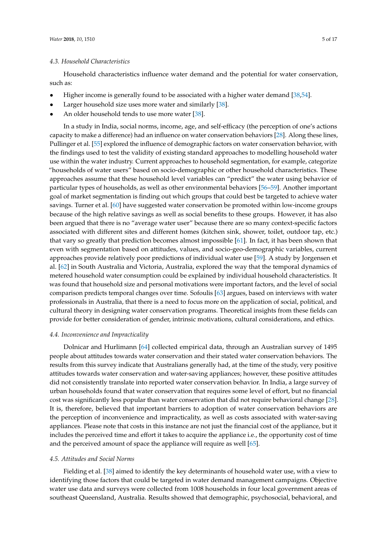Household characteristics influence water demand and the potential for water conservation, such as:

- Higher income is generally found to be associated with a higher water demand [\[38](#page-13-2)[,54\]](#page-13-16).
- Larger household size uses more water and similarly [\[38\]](#page-13-2).
- An older household tends to use more water [\[38\]](#page-13-2).

In a study in India, social norms, income, age, and self-efficacy (the perception of one's actions capacity to make a difference) had an influence on water conservation behaviors [\[28\]](#page-12-12). Along these lines, Pullinger et al. [\[55\]](#page-13-17) explored the influence of demographic factors on water conservation behavior, with the findings used to test the validity of existing standard approaches to modelling household water use within the water industry. Current approaches to household segmentation, for example, categorize "households of water users" based on socio-demographic or other household characteristics. These approaches assume that these household level variables can "predict" the water using behavior of particular types of households, as well as other environmental behaviors [\[56](#page-13-18)[–59\]](#page-14-0). Another important goal of market segmentation is finding out which groups that could best be targeted to achieve water savings. Turner et al. [\[60\]](#page-14-1) have suggested water conservation be promoted within low-income groups because of the high relative savings as well as social benefits to these groups. However, it has also been argued that there is no "average water user" because there are so many context-specific factors associated with different sites and different homes (kitchen sink, shower, toilet, outdoor tap, etc.) that vary so greatly that prediction becomes almost impossible [\[61\]](#page-14-2). In fact, it has been shown that even with segmentation based on attitudes, values, and socio-geo-demographic variables, current approaches provide relatively poor predictions of individual water use [\[59\]](#page-14-0). A study by Jorgensen et al. [\[62\]](#page-14-3) in South Australia and Victoria, Australia, explored the way that the temporal dynamics of metered household water consumption could be explained by individual household characteristics. It was found that household size and personal motivations were important factors, and the level of social comparison predicts temporal changes over time. Sofoulis [\[63\]](#page-14-4) argues, based on interviews with water professionals in Australia, that there is a need to focus more on the application of social, political, and cultural theory in designing water conservation programs. Theoretical insights from these fields can provide for better consideration of gender, intrinsic motivations, cultural considerations, and ethics.

#### *4.4. Inconvenience and Impracticality*

Dolnicar and Hurlimann [\[64\]](#page-14-5) collected empirical data, through an Australian survey of 1495 people about attitudes towards water conservation and their stated water conservation behaviors. The results from this survey indicate that Australians generally had, at the time of the study, very positive attitudes towards water conservation and water-saving appliances; however, these positive attitudes did not consistently translate into reported water conservation behavior. In India, a large survey of urban households found that water conservation that requires some level of effort, but no financial cost was significantly less popular than water conservation that did not require behavioral change [\[28\]](#page-12-12). It is, therefore, believed that important barriers to adoption of water conservation behaviors are the perception of inconvenience and impracticality, as well as costs associated with water-saving appliances. Please note that costs in this instance are not just the financial cost of the appliance, but it includes the perceived time and effort it takes to acquire the appliance i.e., the opportunity cost of time and the perceived amount of space the appliance will require as well [\[65\]](#page-14-6).

#### *4.5. Attitudes and Social Norms*

Fielding et al. [\[38\]](#page-13-2) aimed to identify the key determinants of household water use, with a view to identifying those factors that could be targeted in water demand management campaigns. Objective water use data and surveys were collected from 1008 households in four local government areas of southeast Queensland, Australia. Results showed that demographic, psychosocial, behavioral, and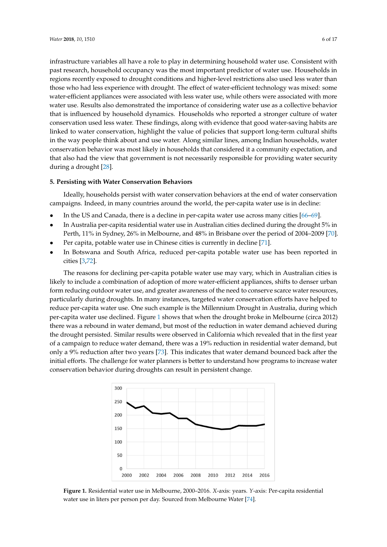infrastructure variables all have a role to play in determining household water use. Consistent with past research, household occupancy was the most important predictor of water use. Households in n<br>regions recently exposed to drought conditions and higher-level restrictions also used less water than those who had less experience with drought. The effect of water-efficient technology was mixed: some water-efficient appliances were associated with less water use, while others were associated with more water use. Results also demonstrated the importance of considering water use as a collective behavior that is influenced by household dynamics. Households who reported a stronger culture of water conservation used less water. These findings, along with evidence that good water-saving habits are linked to water conservation, highlight the value of policies that support long-term cultural shifts in the way people think about and use water. Along similar lines, among Indian households, water conservation behavior was most likely in households that considered it a community expectation, and that also had the view that government is not necessarily responsible for providing water security during a drought [\[28\]](#page-12-12).

# **5. Persisting with Water Conservation Behaviors** Ideally, however, however, however, the end of water conservation behaviors at the end of water conservation behaviors at the end of water conservation behaviors at the end of water conservation behaviors at the end of wa

Ideally, households persist with water conservation behaviors at the end of water conservation campaigns. Indeed, in many countries around the world, the per-capita water use is in decline:

- In the US and Canada, there is a decline in per-capita water use across many cities  $[66-69]$ .
- In Australia per-capita residential water use in Australian cities declined during the drought 5% in Perth, 11% in Sydney, 26% in Melbourne, and 48% in Brisbane over the period of 2004–2009 [\[70\]](#page-14-9).
- Per capita, potable water use in Chinese cities is currently in decline  $[71]$ .
- In Botswana and South Africa, reduced per-capita potable water use has been reported in cities [\[3](#page-11-2)[,72\]](#page-14-11).  $T$  reasons for declining per-capital per-capital potable water use  $\frac{1}{2}$  is  $\frac{1}{2}$ .

The reasons for declining per-capita potable water use may vary, which in Australian cities is likely to include a combination of adoption of more water-efficient appliances, shifts to denser urban form reducing outdoor water use, and greater awareness of the need to conserve scarce water resources, particularly during droughts. In many instances, targeted water conservation efforts have helped to reduce per-capita water use. One such example is the Millennium Drought in Australia, during which per-capita water use declined. Figure 1 shows that when the drought broke in Melbourne (circa 2012) there was a rebound in water demand, but most of the reduction in water demand achieved during the drought persisted. Similar results were observed in California which revealed that in the first year of a campaign to reduce water demand, there was a 19% reduction in residential water demand, but only a 9% reduction after two years [\[73\]](#page-14-12). This indicates that water demand bounced back after the initial efforts. The challenge for water planners is better to understand how programs to increase water conservation behavior during droughts can result in persistent change. persistent change.

<span id="page-5-0"></span>

Figure 1. Residential water use in Melbourne, 2000–2016. X-axis: years. Y-axis: Per-capita residential water use in liters per person per day. Sourced from Melbourne Water [74]. water use in liters per person per day. Sourced from Melbourne Water [\[74\]](#page-14-13).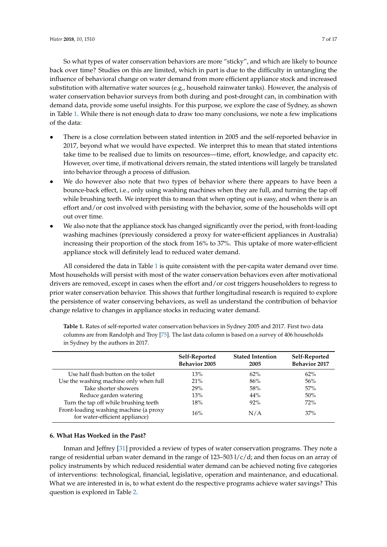So what types of water conservation behaviors are more "sticky", and which are likely to bounce back over time? Studies on this are limited, which in part is due to the difficulty in untangling the influence of behavioral change on water demand from more efficient appliance stock and increased substitution with alternative water sources (e.g., household rainwater tanks). However, the analysis of water conservation behavior surveys from both during and post-drought can, in combination with demand data, provide some useful insights. For this purpose, we explore the case of Sydney, as shown in Table [1.](#page-6-0) While there is not enough data to draw too many conclusions, we note a few implications of the data:

- There is a close correlation between stated intention in 2005 and the self-reported behavior in 2017, beyond what we would have expected. We interpret this to mean that stated intentions take time to be realised due to limits on resources—time, effort, knowledge, and capacity etc. However, over time, if motivational drivers remain, the stated intentions will largely be translated into behavior through a process of diffusion.
- We do however also note that two types of behavior where there appears to have been a bounce-back effect, i.e., only using washing machines when they are full, and turning the tap off while brushing teeth. We interpret this to mean that when opting out is easy, and when there is an effort and/or cost involved with persisting with the behavior, some of the households will opt out over time.
- We also note that the appliance stock has changed significantly over the period, with front-loading washing machines (previously considered a proxy for water-efficient appliances in Australia) increasing their proportion of the stock from 16% to 37%. This uptake of more water-efficient appliance stock will definitely lead to reduced water demand.

All considered the data in Table [1](#page-6-0) is quite consistent with the per-capita water demand over time. Most households will persist with most of the water conservation behaviors even after motivational drivers are removed, except in cases when the effort and/or cost triggers householders to regress to prior water conservation behavior. This shows that further longitudinal research is required to explore the persistence of water conserving behaviors, as well as understand the contribution of behavior change relative to changes in appliance stocks in reducing water demand.

|                                                                          | Self-Reported<br><b>Behavior 2005</b> | <b>Stated Intention</b><br>2005 | Self-Reported<br><b>Behavior 2017</b> |
|--------------------------------------------------------------------------|---------------------------------------|---------------------------------|---------------------------------------|
| Use half flush button on the toilet                                      | 13%                                   | $62\%$                          | $62\%$                                |
| Use the washing machine only when full                                   | 21%                                   | 86%                             | 56%                                   |
| Take shorter showers                                                     | 29%                                   | 58%                             | 57%                                   |
| Reduce garden watering                                                   | 13%                                   | 44%                             | 50%                                   |
| Turn the tap off while brushing teeth                                    | 18%                                   | 92%                             | 72%                                   |
| Front-loading washing machine (a proxy<br>for water-efficient appliance) | 16%                                   | N/A                             | 37%                                   |

<span id="page-6-0"></span>**Table 1.** Rates of self-reported water conservation behaviors in Sydney 2005 and 2017. First two data columns are from Randolph and Troy [\[75\]](#page-14-14). The last data column is based on a survey of 406 households in Sydney by the authors in 2017.

### **6. What Has Worked in the Past?**

Inman and Jeffrey [\[31\]](#page-12-15) provided a review of types of water conservation programs. They note a range of residential urban water demand in the range of 123–503 l/c/d; and then focus on an array of policy instruments by which reduced residential water demand can be achieved noting five categories of interventions: technological, financial, legislative, operation and maintenance, and educational. What we are interested in is, to what extent do the respective programs achieve water savings? This question is explored in Table [2.](#page-7-0)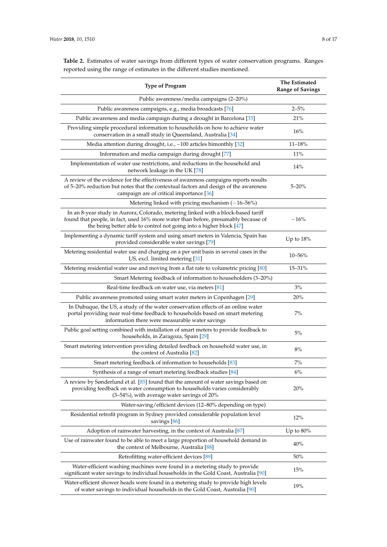| <b>Type of Program</b>                                                                                                                                                                                                                         | The Estimated<br><b>Range of Savings</b> |  |  |
|------------------------------------------------------------------------------------------------------------------------------------------------------------------------------------------------------------------------------------------------|------------------------------------------|--|--|
| Public awareness/media campaigns (2–20%)                                                                                                                                                                                                       |                                          |  |  |
| Public awareness campaigns, e.g., media broadcasts [76]                                                                                                                                                                                        | $2 - 5%$                                 |  |  |
| Public awareness and media campaign during a drought in Barcelona [35]                                                                                                                                                                         | 21%                                      |  |  |
| Providing simple procedural information to households on how to achieve water<br>conservation in a small study in Queensland, Australia [34]                                                                                                   | 16%                                      |  |  |
| Media attention during drought, i.e., $\sim$ 100 articles bimonthly [32]                                                                                                                                                                       | $11 - 18%$                               |  |  |
| Information and media campaign during drought [77]                                                                                                                                                                                             | <b>11%</b>                               |  |  |
| Implementation of water use restrictions, and reductions in the household and<br>network leakage in the UK [78]                                                                                                                                | 14%                                      |  |  |
| A review of the evidence for the effectiveness of awareness campaigns reports results<br>of 5-20% reduction but notes that the contextual factors and design of the awareness<br>campaign are of critical importance [36]                      | $5 - 20%$                                |  |  |
| Metering linked with pricing mechanism $(-16-56%)$                                                                                                                                                                                             |                                          |  |  |
| In an 8-year study in Aurora, Colorado, metering linked with a block-based tariff<br>found that people, in fact, used 16% more water than before, presumably because of<br>the being better able to control not going into a higher block [47] | $-16%$                                   |  |  |
| Implementing a dynamic tariff system and using smart meters in Valencia, Spain has<br>provided considerable water savings [79]                                                                                                                 | Up to $18\%$                             |  |  |
| Metering residential water use and charging on a per unit basis in several cases in the<br>US, excl. limited metering [31]                                                                                                                     | $10 - 56%$                               |  |  |
| Metering residential water use and moving from a flat rate to volumetric pricing [80]                                                                                                                                                          | 15-31%                                   |  |  |
| Smart Metering feedback of information to householders (3–20%)                                                                                                                                                                                 |                                          |  |  |
| Real-time feedback on water use, via meters [81]                                                                                                                                                                                               | 3%                                       |  |  |
| Public awareness promoted using smart water meters in Copenhagen [29]                                                                                                                                                                          | 20%                                      |  |  |
| In Dubuque, the US, a study of the water conservation effects of an online water<br>portal providing near real-time feedback to households based on smart metering<br>information there were measurable water savings                          | 7%                                       |  |  |
| Public goal setting combined with installation of smart meters to provide feedback to<br>households, in Zaragoza, Spain [29]                                                                                                                   | 5%                                       |  |  |
| Smart metering intervention providing detailed feedback on household water use, in<br>the context of Australia [82]                                                                                                                            | 8%                                       |  |  |
| Smart metering feedback of information to households [83]                                                                                                                                                                                      | $7\%$                                    |  |  |
| Synthesis of a range of smart metering feedback studies [84]                                                                                                                                                                                   | 6%                                       |  |  |
| A review by Sønderlund et al. [85] found that the amount of water savings based on<br>providing feedback on water consumption to households varies considerably<br>(3-54%), with average water savings of 20%                                  | 20%                                      |  |  |
| Water-saving/efficient devices (12–80% depending on type)                                                                                                                                                                                      |                                          |  |  |
| Residential retrofit program in Sydney provided considerable population level<br>savings [86]                                                                                                                                                  | 12%                                      |  |  |
| Adoption of rainwater harvesting, in the context of Australia [87]                                                                                                                                                                             | Up to $80\%$                             |  |  |
| Use of rainwater found to be able to meet a large proportion of household demand in<br>the context of Melbourne, Australia [88]                                                                                                                | 40%                                      |  |  |
| Retrofitting water-efficient devices [89]                                                                                                                                                                                                      | $50\%$                                   |  |  |
| Water-efficient washing machines were found in a metering study to provide<br>significant water savings to individual households in the Gold Coast, Australia [90]                                                                             | 15%                                      |  |  |
| Water-efficient shower heads were found in a metering study to provide high levels<br>stor carrings to individual households in the Cold Coset                                                                                                 | 19%                                      |  |  |

of water savings to individual households in the Gold Coast, Australia [\[90\]](#page-15-7)

<span id="page-7-0"></span>**Table 2.** Estimates of water savings from different types of water conservation programs. Ranges reported using the range of estimates in the different studies mentioned.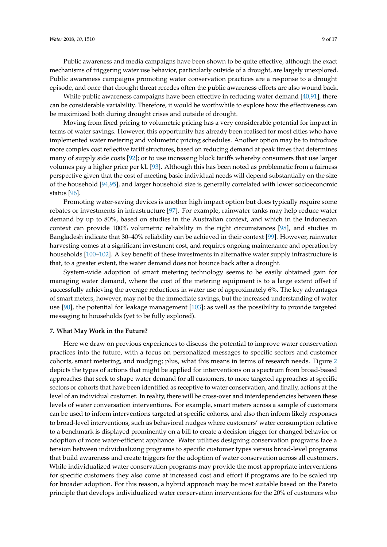While public awareness campaigns have been effective in reducing water demand [\[40,](#page-13-4)[91\]](#page-15-8), there can be considerable variability. Therefore, it would be worthwhile to explore how the effectiveness can be maximized both during drought crises and outside of drought.

Moving from fixed pricing to volumetric pricing has a very considerable potential for impact in terms of water savings. However, this opportunity has already been realised for most cities who have implemented water metering and volumetric pricing schedules. Another option may be to introduce more complex cost reflective tariff structures, based on reducing demand at peak times that determines many of supply side costs [\[92\]](#page-15-9); or to use increasing block tariffs whereby consumers that use larger volumes pay a higher price per kL [\[93\]](#page-15-10). Although this has been noted as problematic from a fairness perspective given that the cost of meeting basic individual needs will depend substantially on the size of the household [\[94](#page-15-11)[,95\]](#page-15-12), and larger household size is generally correlated with lower socioeconomic status [\[96\]](#page-15-13).

Promoting water-saving devices is another high impact option but does typically require some rebates or investments in infrastructure [\[97\]](#page-15-14). For example, rainwater tanks may help reduce water demand by up to 80%, based on studies in the Australian context, and which in the Indonesian context can provide 100% volumetric reliability in the right circumstances [\[98\]](#page-15-15), and studies in Bangladesh indicate that 30–40% reliability can be achieved in their context [\[99\]](#page-15-16). However, rainwater harvesting comes at a significant investment cost, and requires ongoing maintenance and operation by households [\[100](#page-15-17)[–102\]](#page-15-18). A key benefit of these investments in alternative water supply infrastructure is that, to a greater extent, the water demand does not bounce back after a drought.

System-wide adoption of smart metering technology seems to be easily obtained gain for managing water demand, where the cost of the metering equipment is to a large extent offset if successfully achieving the average reductions in water use of approximately 6%. The key advantages of smart meters, however, may not be the immediate savings, but the increased understanding of water use [\[90\]](#page-15-7), the potential for leakage management [\[103\]](#page-15-19); as well as the possibility to provide targeted messaging to households (yet to be fully explored).

### **7. What May Work in the Future?**

Here we draw on previous experiences to discuss the potential to improve water conservation practices into the future, with a focus on personalized messages to specific sectors and customer cohorts, smart metering, and nudging; plus, what this means in terms of research needs. Figure [2](#page-9-0) depicts the types of actions that might be applied for interventions on a spectrum from broad-based approaches that seek to shape water demand for all customers, to more targeted approaches at specific sectors or cohorts that have been identified as receptive to water conservation, and finally, actions at the level of an individual customer. In reality, there will be cross-over and interdependencies between these levels of water conversation interventions. For example, smart meters across a sample of customers can be used to inform interventions targeted at specific cohorts, and also then inform likely responses to broad-level interventions, such as behavioral nudges where customers' water consumption relative to a benchmark is displayed prominently on a bill to create a decision trigger for changed behavior or adoption of more water-efficient appliance. Water utilities designing conservation programs face a tension between individualizing programs to specific customer types versus broad-level programs that build awareness and create triggers for the adoption of water conservation across all customers. While individualized water conservation programs may provide the most appropriate interventions for specific customers they also come at increased cost and effort if programs are to be scaled up for broader adoption. For this reason, a hybrid approach may be most suitable based on the Pareto principle that develops individualized water conservation interventions for the 20% of customers who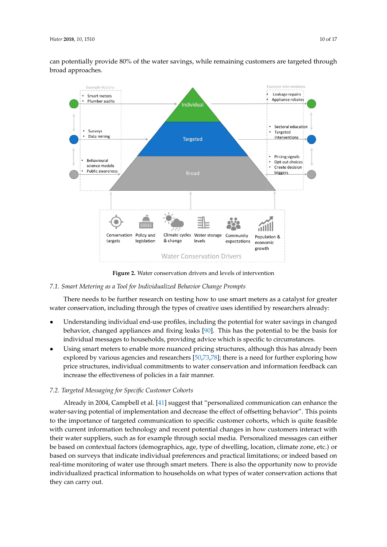can potentially provide 80% of the water savings, while remaining customers are targeted through water savings, while remaining customers are targeted through broad approaches.

<span id="page-9-0"></span>

**Figure 2.** Water conservation drivers and levels of intervention **Figure 2.** Water conservation drivers and levels of intervention

### *7.1. Smart Metering as a Tool for Individualized Behavior Change Prompts*

There needs to be further research on testing how to use smart meters as a catalyst for greater water conservation, including through the types of creative uses identified by researchers already:

- Understanding individual end-use profiles, including the potential for water savings in changed behavior, changed appliances and fixing leaks [\[90\]](#page-15-7). This has the potential to be the basis for individual messages to households, providing advice which is specific to circumstances.
- Using smart meters to enable more nuanced pricing structures, although this has already been explored by various agencies and researchers  $[50,73,78]$  $[50,73,78]$  $[50,73,78]$ ; there is a need for further exploring how price structures, individual commitments to water conservation and information feedback can increase the effectiveness of policies in a fair manner. can increase the effectiveness of policies in a fair manner.

### *7.2. Targeted Messaging for Specific Customer Cohorts*

*7.2. Targeted Messaging for Specific Customer Cohorts*  Already in 2004, Campbell et al. [\[41\]](#page-13-5) suggest that "personalized communication can enhance the water-saving potential of implementation and decrease the effect of offsetting behavior". This points to the importance of targeted communication to specific customer cohorts, which is quite feasible with current information technology and recent potential changes in how customers interact with their water suppliers, such as for example through social media. Personalized messages can either be based on contextual factors (demographics, age, type of dwelling, location, climate zone, etc.) or based on surveys that indicate individual preferences and practical limitations; or indeed based on real-time monitoring of water use through smart meters. There is also the opportunity now to provide individualized practical information to households on what types of water conservation actions that they can carry out.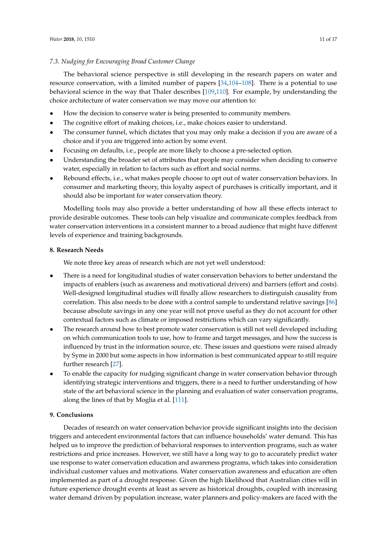### *7.3. Nudging for Encouraging Broad Customer Change*

The behavioral science perspective is still developing in the research papers on water and resource conservation, with a limited number of papers [\[34](#page-12-18)[,104–](#page-15-20)[108\]](#page-16-0). There is a potential to use behavioral science in the way that Thaler describes [\[109,](#page-16-1)[110\]](#page-16-2). For example, by understanding the choice architecture of water conservation we may move our attention to:

- How the decision to conserve water is being presented to community members.
- The cognitive effort of making choices, i.e., make choices easier to understand.
- The consumer funnel, which dictates that you may only make a decision if you are aware of a choice and if you are triggered into action by some event.
- Focusing on defaults, i.e., people are more likely to choose a pre-selected option.
- Understanding the broader set of attributes that people may consider when deciding to conserve water, especially in relation to factors such as effort and social norms.
- Rebound effects, i.e., what makes people choose to opt out of water conservation behaviors. In consumer and marketing theory, this loyalty aspect of purchases is critically important, and it should also be important for water conservation theory.

Modelling tools may also provide a better understanding of how all these effects interact to provide desirable outcomes. These tools can help visualize and communicate complex feedback from water conservation interventions in a consistent manner to a broad audience that might have different levels of experience and training backgrounds.

### **8. Research Needs**

We note three key areas of research which are not yet well understood:

- There is a need for longitudinal studies of water conservation behaviors to better understand the impacts of enablers (such as awareness and motivational drivers) and barriers (effort and costs). Well-designed longitudinal studies will finally allow researchers to distinguish causality from correlation. This also needs to be done with a control sample to understand relative savings [\[86\]](#page-15-3) because absolute savings in any one year will not prove useful as they do not account for other contextual factors such as climate or imposed restrictions which can vary significantly.
- The research around how to best promote water conservation is still not well developed including on which communication tools to use, how to frame and target messages, and how the success is influenced by trust in the information source, etc. These issues and questions were raised already by Syme in 2000 but some aspects in how information is best communicated appear to still require further research [\[27\]](#page-12-11).
- To enable the capacity for nudging significant change in water conservation behavior through identifying strategic interventions and triggers, there is a need to further understanding of how state of the art behavioral science in the planning and evaluation of water conservation programs, along the lines of that by Moglia et al. [\[111\]](#page-16-3).

# **9. Conclusions**

Decades of research on water conservation behavior provide significant insights into the decision triggers and antecedent environmental factors that can influence households' water demand. This has helped us to improve the prediction of behavioral responses to intervention programs, such as water restrictions and price increases. However, we still have a long way to go to accurately predict water use response to water conservation education and awareness programs, which takes into consideration individual customer values and motivations. Water conservation awareness and education are often implemented as part of a drought response. Given the high likelihood that Australian cities will in future experience drought events at least as severe as historical droughts, coupled with increasing water demand driven by population increase, water planners and policy-makers are faced with the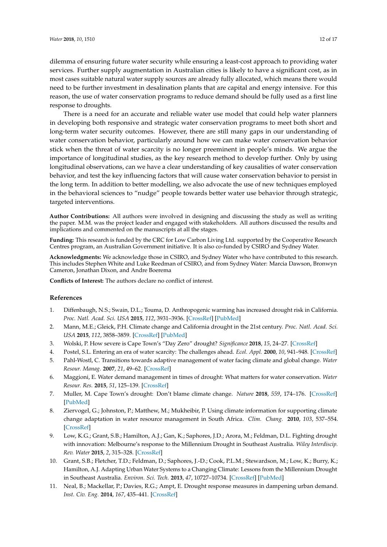dilemma of ensuring future water security while ensuring a least-cost approach to providing water services. Further supply augmentation in Australian cities is likely to have a significant cost, as in most cases suitable natural water supply sources are already fully allocated, which means there would need to be further investment in desalination plants that are capital and energy intensive. For this reason, the use of water conservation programs to reduce demand should be fully used as a first line response to droughts.

There is a need for an accurate and reliable water use model that could help water planners in developing both responsive and strategic water conservation programs to meet both short and long-term water security outcomes. However, there are still many gaps in our understanding of water conservation behavior, particularly around how we can make water conservation behavior stick when the threat of water scarcity is no longer preeminent in people's minds. We argue the importance of longitudinal studies, as the key research method to develop further. Only by using longitudinal observations, can we have a clear understanding of key causalities of water conservation behavior, and test the key influencing factors that will cause water conservation behavior to persist in the long term. In addition to better modelling, we also advocate the use of new techniques employed in the behavioral sciences to "nudge" people towards better water use behavior through strategic, targeted interventions.

**Author Contributions:** All authors were involved in designing and discussing the study as well as writing the paper. M.M. was the project leader and engaged with stakeholders. All authors discussed the results and implications and commented on the manuscripts at all the stages.

**Funding:** This research is funded by the CRC for Low Carbon Living Ltd. supported by the Cooperative Research Centres program, an Australian Government initiative. It is also co-funded by CSIRO and Sydney Water.

**Acknowledgments:** We acknowledge those in CSIRO, and Sydney Water who have contributed to this research. This includes Stephen White and Luke Reedman of CSIRO, and from Sydney Water: Marcia Dawson, Bronwyn Cameron, Jonathan Dixon, and Andre Boerema

**Conflicts of Interest:** The authors declare no conflict of interest.

### **References**

- <span id="page-11-0"></span>1. Diffenbaugh, N.S.; Swain, D.L.; Touma, D. Anthropogenic warming has increased drought risk in California. *Proc. Natl. Acad. Sci. USA* **2015**, *112*, 3931–3936. [\[CrossRef\]](http://dx.doi.org/10.1073/pnas.1422385112) [\[PubMed\]](http://www.ncbi.nlm.nih.gov/pubmed/25733875)
- <span id="page-11-1"></span>2. Mann, M.E.; Gleick, P.H. Climate change and California drought in the 21st century. *Proc. Natl. Acad. Sci. USA* **2015**, *112*, 3858–3859. [\[CrossRef\]](http://dx.doi.org/10.1073/pnas.1503667112) [\[PubMed\]](http://www.ncbi.nlm.nih.gov/pubmed/25829537)
- <span id="page-11-2"></span>3. Wolski, P. How severe is Cape Town's "Day Zero" drought? *Significance* **2018**, *15*, 24–27. [\[CrossRef\]](http://dx.doi.org/10.1111/j.1740-9713.2018.01127.x)
- <span id="page-11-3"></span>4. Postel, S.L. Entering an era of water scarcity: The challenges ahead. *Ecol. Appl.* **2000**, *10*, 941–948. [\[CrossRef\]](http://dx.doi.org/10.1890/1051-0761(2000)010[0941:EAEOWS]2.0.CO;2)
- 5. Pahl-Wostl, C. Transitions towards adaptive management of water facing climate and global change. *Water Resour. Manag.* **2007**, *21*, 49–62. [\[CrossRef\]](http://dx.doi.org/10.1007/s11269-006-9040-4)
- <span id="page-11-4"></span>6. Maggioni, E. Water demand management in times of drought: What matters for water conservation. *Water Resour. Res.* **2015**, *51*, 125–139. [\[CrossRef\]](http://dx.doi.org/10.1002/2014WR016301)
- <span id="page-11-5"></span>7. Muller, M. Cape Town's drought: Don't blame climate change. *Nature* **2018**, *559*, 174–176. [\[CrossRef\]](http://dx.doi.org/10.1038/d41586-018-05649-1) [\[PubMed\]](http://www.ncbi.nlm.nih.gov/pubmed/29980735)
- <span id="page-11-6"></span>8. Ziervogel, G.; Johnston, P.; Matthew, M.; Mukheibir, P. Using climate information for supporting climate change adaptation in water resource management in South Africa. *Clim. Chang.* **2010**, *103*, 537–554. [\[CrossRef\]](http://dx.doi.org/10.1007/s10584-009-9771-3)
- <span id="page-11-7"></span>9. Low, K.G.; Grant, S.B.; Hamilton, A.J.; Gan, K.; Saphores, J.D.; Arora, M.; Feldman, D.L. Fighting drought with innovation: Melbourne's response to the Millennium Drought in Southeast Australia. *Wiley Interdiscip. Rev. Water* **2015**, *2*, 315–328. [\[CrossRef\]](http://dx.doi.org/10.1002/wat2.1087)
- <span id="page-11-8"></span>10. Grant, S.B.; Fletcher, T.D.; Feldman, D.; Saphores, J.-D.; Cook, P.L.M.; Stewardson, M.; Low, K.; Burry, K.; Hamilton, A.J. Adapting Urban Water Systems to a Changing Climate: Lessons from the Millennium Drought in Southeast Australia. *Environ. Sci. Tech.* **2013**, *47*, 10727–10734. [\[CrossRef\]](http://dx.doi.org/10.1021/es400618z) [\[PubMed\]](http://www.ncbi.nlm.nih.gov/pubmed/23641731)
- <span id="page-11-9"></span>11. Neal, B.; Mackellar, P.; Davies, R.G.; Ampt, E. Drought response measures in dampening urban demand. *Inst. Civ. Eng.* **2014**, *167*, 435–441. [\[CrossRef\]](http://dx.doi.org/10.1680/wama.12.00116)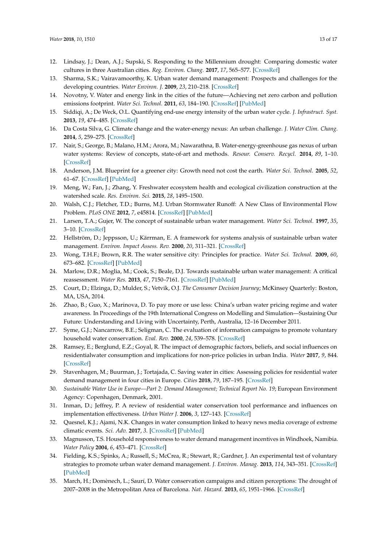- <span id="page-12-0"></span>12. Lindsay, J.; Dean, A.J.; Supski, S. Responding to the Millennium drought: Comparing domestic water cultures in three Australian cities. *Reg. Environ. Chang.* **2017**, *17*, 565–577. [\[CrossRef\]](http://dx.doi.org/10.1007/s10113-016-1048-6)
- <span id="page-12-1"></span>13. Sharma, S.K.; Vairavamoorthy, K. Urban water demand management: Prospects and challenges for the developing countries. *Water Environ. J.* **2009**, *23*, 210–218. [\[CrossRef\]](http://dx.doi.org/10.1111/j.1747-6593.2008.00134.x)
- <span id="page-12-2"></span>14. Novotny, V. Water and energy link in the cities of the future—Achieving net zero carbon and pollution emissions footprint. *Water Sci. Technol.* **2011**, *63*, 184–190. [\[CrossRef\]](http://dx.doi.org/10.2166/wst.2011.031) [\[PubMed\]](http://www.ncbi.nlm.nih.gov/pubmed/21245572)
- 15. Siddiqi, A.; De Weck, O.L. Quantifying end-use energy intensity of the urban water cycle. *J. Infrastruct. Syst.* **2013**, *19*, 474–485. [\[CrossRef\]](http://dx.doi.org/10.1061/(ASCE)IS.1943-555X.0000153)
- 16. Da Costa Silva, G. Climate change and the water-energy nexus: An urban challenge. *J. Water Clim. Chang.* **2014**, *5*, 259–275. [\[CrossRef\]](http://dx.doi.org/10.2166/wcc.2013.082)
- <span id="page-12-3"></span>17. Nair, S.; George, B.; Malano, H.M.; Arora, M.; Nawarathna, B. Water-energy-greenhouse gas nexus of urban water systems: Review of concepts, state-of-art and methods. *Resour. Conserv. Recycl.* **2014**, *89*, 1–10. [\[CrossRef\]](http://dx.doi.org/10.1016/j.resconrec.2014.05.007)
- <span id="page-12-4"></span>18. Anderson, J.M. Blueprint for a greener city: Growth need not cost the earth. *Water Sci. Technol.* **2005**, *52*, 61–67. [\[CrossRef\]](http://dx.doi.org/10.2166/wst.2005.0288) [\[PubMed\]](http://www.ncbi.nlm.nih.gov/pubmed/16445174)
- <span id="page-12-5"></span>19. Meng, W.; Fan, J.; Zhang, Y. Freshwater ecosystem health and ecological civilization construction at the watershed scale. *Res. Environ. Sci.* **2015**, *28*, 1495–1500.
- <span id="page-12-6"></span>20. Walsh, C.J.; Fletcher, T.D.; Burns, M.J. Urban Stormwater Runoff: A New Class of Environmental Flow Problem. *PLoS ONE* **2012**, *7*, e45814. [\[CrossRef\]](http://dx.doi.org/10.1371/journal.pone.0045814) [\[PubMed\]](http://www.ncbi.nlm.nih.gov/pubmed/23029257)
- <span id="page-12-7"></span>21. Larsen, T.A.; Gujer, W. The concept of sustainable urban water management. *Water Sci. Technol.* **1997**, *35*, 3–10. [\[CrossRef\]](http://dx.doi.org/10.2166/wst.1997.0326)
- 22. Hellström, D.; Jeppsson, U.; Kärrman, E. A framework for systems analysis of sustainable urban water management. *Environ. Impact Assess. Rev.* **2000**, *20*, 311–321. [\[CrossRef\]](http://dx.doi.org/10.1016/S0195-9255(00)00043-3)
- 23. Wong, T.H.F.; Brown, R.R. The water sensitive city: Principles for practice. *Water Sci. Technol.* **2009**, *60*, 673–682. [\[CrossRef\]](http://dx.doi.org/10.2166/wst.2009.436) [\[PubMed\]](http://www.ncbi.nlm.nih.gov/pubmed/19657162)
- <span id="page-12-8"></span>24. Marlow, D.R.; Moglia, M.; Cook, S.; Beale, D.J. Towards sustainable urban water management: A critical reassessment. *Water Res.* **2013**, *47*, 7150–7161. [\[CrossRef\]](http://dx.doi.org/10.1016/j.watres.2013.07.046) [\[PubMed\]](http://www.ncbi.nlm.nih.gov/pubmed/24210506)
- <span id="page-12-9"></span>25. Court, D.; Elzinga, D.; Mulder, S.; Vetvik, O.J. *The Consumer Decision Journey*; McKinsey Quarterly: Boston, MA, USA, 2014.
- <span id="page-12-10"></span>26. Zhao, B.; Guo, X.; Marinova, D. To pay more or use less: China's urban water pricing regime and water awareness. In Proceedings of the 19th International Congress on Modelling and Simulation—Sustaining Our Future: Understanding and Living with Uncertainty, Perth, Australia, 12–16 December 2011.
- <span id="page-12-11"></span>27. Syme, G.J.; Nancarrow, B.E.; Seligman, C. The evaluation of information campaigns to promote voluntary household water conservation. *Eval. Rev.* **2000**, *24*, 539–578. [\[CrossRef\]](http://dx.doi.org/10.1177/0193841X0002400601)
- <span id="page-12-12"></span>28. Ramsey, E.; Berglund, E.Z.; Goyal, R. The impact of demographic factors, beliefs, and social influences on residentialwater consumption and implications for non-price policies in urban India. *Water* **2017**, *9*, 844. [\[CrossRef\]](http://dx.doi.org/10.3390/w9110844)
- <span id="page-12-13"></span>29. Stavenhagen, M.; Buurman, J.; Tortajada, C. Saving water in cities: Assessing policies for residential water demand management in four cities in Europe. *Cities* **2018**, *79*, 187–195. [\[CrossRef\]](http://dx.doi.org/10.1016/j.cities.2018.03.008)
- <span id="page-12-14"></span>30. *Sustainable Water Use in Europe—Part 2: Demand Management; Technical Report No. 19*; European Environment Agency: Copenhagen, Denmark, 2001.
- <span id="page-12-15"></span>31. Inman, D.; Jeffrey, P. A review of residential water conservation tool performance and influences on implementation effectiveness. *Urban Water J.* **2006**, *3*, 127–143. [\[CrossRef\]](http://dx.doi.org/10.1080/15730620600961288)
- <span id="page-12-16"></span>32. Quesnel, K.J.; Ajami, N.K. Changes in water consumption linked to heavy news media coverage of extreme climatic events. *Sci. Adv.* **2017**, *3*. [\[CrossRef\]](http://dx.doi.org/10.1126/sciadv.1700784) [\[PubMed\]](http://www.ncbi.nlm.nih.gov/pubmed/29075664)
- <span id="page-12-17"></span>33. Magnusson, T.S. Household responsiveness to water demand management incentives in Windhoek, Namibia. *Water Policy* **2004**, *6*, 453–471. [\[CrossRef\]](http://dx.doi.org/10.2166/wp.2004.0030)
- <span id="page-12-18"></span>34. Fielding, K.S.; Spinks, A.; Russell, S.; McCrea, R.; Stewart, R.; Gardner, J. An experimental test of voluntary strategies to promote urban water demand management. *J. Environ. Manag.* **2013**, *114*, 343–351. [\[CrossRef\]](http://dx.doi.org/10.1016/j.jenvman.2012.10.027) [\[PubMed\]](http://www.ncbi.nlm.nih.gov/pubmed/23168251)
- <span id="page-12-19"></span>35. March, H.; Domènech, L.; Saurí, D. Water conservation campaigns and citizen perceptions: The drought of 2007–2008 in the Metropolitan Area of Barcelona. *Nat. Hazard.* **2013**, *65*, 1951–1966. [\[CrossRef\]](http://dx.doi.org/10.1007/s11069-012-0456-2)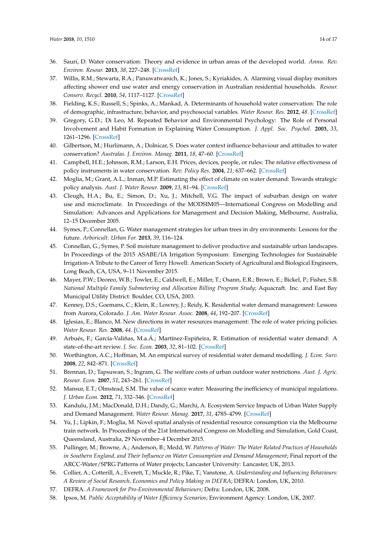- <span id="page-13-0"></span>36. Saurí, D. Water conservation: Theory and evidence in urban areas of the developed world. *Annu. Rev. Environ. Resour.* **2013**, *38*, 227–248. [\[CrossRef\]](http://dx.doi.org/10.1146/annurev-environ-013113-142651)
- <span id="page-13-1"></span>37. Willis, R.M.; Stewarta, R.A.; Panuwatwanich, K.; Jones, S.; Kyriakides, A. Alarming visual display monitors affecting shower end use water and energy conservation in Australian residential households. *Resour. Conserv. Recycl.* **2010**, *54*, 1117–1127. [\[CrossRef\]](http://dx.doi.org/10.1016/j.resconrec.2010.03.004)
- <span id="page-13-2"></span>38. Fielding, K.S.; Russell, S.; Spinks, A.; Mankad, A. Determinants of household water conservation: The role of demographic, infrastructure, behavior, and psychosocial variables. *Water Resour. Res.* **2012**, *48*. [\[CrossRef\]](http://dx.doi.org/10.1029/2012WR012398)
- <span id="page-13-3"></span>39. Gregory, G.D.; Di Leo, M. Repeated Behavior and Environmental Psychology: The Role of Personal Involvement and Habit Formation in Explaining Water Consumption. *J. Appl. Soc. Psychol.* **2003**, *33*, 1261–1296. [\[CrossRef\]](http://dx.doi.org/10.1111/j.1559-1816.2003.tb01949.x)
- <span id="page-13-4"></span>40. Gilbertson, M.; Hurlimann, A.; Dolnicar, S. Does water context influence behaviour and attitudes to water conservation? *Australas. J. Environ. Manag.* **2011**, *18*, 47–60. [\[CrossRef\]](http://dx.doi.org/10.1080/14486563.2011.566160)
- <span id="page-13-5"></span>41. Campbell, H.E.; Johnson, R.M.; Larson, E.H. Prices, devices, people, or rules: The relative effectiveness of policy instruments in water conservation. *Rev. Policy Res.* **2004**, *21*, 637–662. [\[CrossRef\]](http://dx.doi.org/10.1111/j.1541-1338.2004.00099.x)
- <span id="page-13-6"></span>42. Moglia, M.; Grant, A.L.; Inman, M.P. Estimating the effect of climate on water demand: Towards strategic policy analysis. *Aust. J. Water Resour.* **2009**, *13*, 81–94. [\[CrossRef\]](http://dx.doi.org/10.1080/13241583.2009.11465363)
- <span id="page-13-7"></span>43. Cleugh, H.A.; Bu, E.; Simon, D.; Xu, J.; Mitchell, V.G. The impact of suburban design on water use and microclimate. In Proceedings of the MODSIM05—International Congress on Modelling and Simulation: Advances and Applications for Management and Decision Making, Melbourne, Australia, 12–15 December 2005.
- 44. Symes, P.; Connellan, G. Water management strategies for urban trees in dry environments: Lessons for the future. *Arboricult. Urban For.* **2013**, *39*, 116–124.
- <span id="page-13-8"></span>45. Connellan, G.; Symes, P. Soil moisture management to deliver productive and sustainable urban landscapes. In Proceedings of the 2015 ASABE/IA Irrigation Symposium: Emerging Technologies for Sustainable Irrigation-A Tribute to the Career of Terry Howell: American Society of Agricultural and Biological Engineers, Long Beach, CA, USA, 9–11 November 2015.
- <span id="page-13-9"></span>46. Mayer, P.W.; Deoreo, W.B.; Towler, E.; Caldwell, E.; Miller, T.; Osann, E.R.; Brown, E.; Bickel, P.; Fisher, S.B. *National Multiple Family Submetering and Allocation Billing Program Study*; Aquacraft. Inc. and East Bay Municipal Utility District: Boulder, CO, USA, 2003.
- <span id="page-13-10"></span>47. Kenney, D.S.; Goemans, C.; Klein, R.; Lowrey, J.; Reidy, K. Residential water demand management: Lessons from Aurora, Colorado. *J. Am. Water Resour. Assoc.* **2008**, *44*, 192–207. [\[CrossRef\]](http://dx.doi.org/10.1111/j.1752-1688.2007.00147.x)
- <span id="page-13-11"></span>48. Iglesias, E.; Blanco, M. New directions in water resources management: The role of water pricing policies. *Water Resour. Res.* **2008**, *44*. [\[CrossRef\]](http://dx.doi.org/10.1029/2006WR005708)
- <span id="page-13-12"></span>49. Arbués, F.; García-Valiñas, M.a.Á.; Martínez-Espiñeira, R. Estimation of residential water demand: A state-of-the-art review. *J. Soc. Econ.* **2003**, *32*, 81–102. [\[CrossRef\]](http://dx.doi.org/10.1016/S1053-5357(03)00005-2)
- <span id="page-13-13"></span>50. Worthington, A.C.; Hoffman, M. An empirical survey of residential water demand modelling. *J. Econ. Surv.* **2008**, *22*, 842–871. [\[CrossRef\]](http://dx.doi.org/10.1111/j.1467-6419.2008.00551.x)
- <span id="page-13-14"></span>51. Brennan, D.; Tapsuwan, S.; Ingram, G. The welfare costs of urban outdoor water restrictions. *Aust. J. Agric. Resour. Econ.* **2007**, *51*, 243–261. [\[CrossRef\]](http://dx.doi.org/10.1111/j.1467-8489.2007.00395.x)
- 52. Mansur, E.T.; Olmstead, S.M. The value of scarce water: Measuring the inefficiency of municipal regulations. *J. Urban Econ.* **2012**, *71*, 332–346. [\[CrossRef\]](http://dx.doi.org/10.1016/j.jue.2011.11.003)
- <span id="page-13-15"></span>53. Kandulu, J.M.; MacDonald, D.H.; Dandy, G.; Marchi, A. Ecosystem Service Impacts of Urban Water Supply and Demand Management. *Water Resour. Manag.* **2017**, *31*, 4785–4799. [\[CrossRef\]](http://dx.doi.org/10.1007/s11269-017-1778-3)
- <span id="page-13-16"></span>54. Yu, J.; Lipkin, F.; Moglia, M. Novel spatial analysis of residential resource consumption via the Melbourne train network. In Proceedings of the 21st International Congress on Modelling and Simulation, Gold Coast, Queensland, Australia, 29 November–4 Decmber 2015.
- <span id="page-13-17"></span>55. Pullinger, M.; Browne, A.; Anderson, B.; Medd, W. *Patterns of Water: The Water Related Practices of Households in Southern England, and Their Influence on Water Consumption and Demand Management*; Final report of the ARCC-Water/SPRG Patterns of Water projects; Lancaster University: Lancaster, UK, 2013.
- <span id="page-13-18"></span>56. Collier, A.; Cotterill, A.; Everett, T.; Muckle, R.; Pike, T.; Vanstone, A. *Understanding and Influencing Behaviours: A Review of Social Research, Economics and Policy Making in DEFRA*; DEFRA: London, UK, 2010.
- 57. DEFRA. *A Framework for Pro-Environmental Behaviours*; Defra: London, UK, 2008.
- 58. Ipsos, M. *Public Acceptability of Water Efficiency Scenarios*; Environment Agency: London, UK, 2007.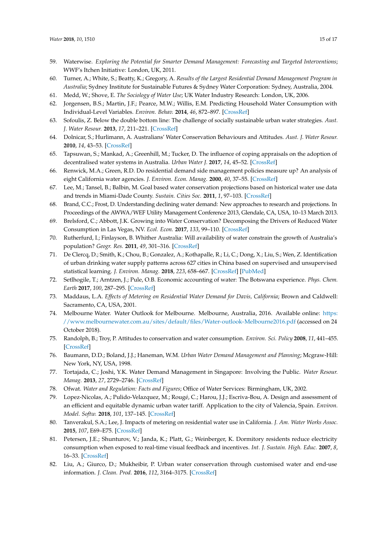- <span id="page-14-0"></span>59. Waterwise. *Exploring the Potential for Smarter Demand Management: Forecasting and Targeted Interventions*; WWF's Itchen Initiative: London, UK, 2011.
- <span id="page-14-1"></span>60. Turner, A.; White, S.; Beatty, K.; Gregory, A. *Results of the Largest Residential Demand Management Program in Australia*; Sydney Institute for Sustainable Futures & Sydney Water Corporation: Sydney, Australia, 2004.
- <span id="page-14-2"></span>61. Medd, W.; Shove, E. *The Sociology of Water Use*; UK Water Industry Research: London, UK, 2006.
- <span id="page-14-3"></span>62. Jorgensen, B.S.; Martin, J.F.; Pearce, M.W.; Willis, E.M. Predicting Household Water Consumption with Individual-Level Variables. *Environ. Behav.* **2014**, *46*, 872–897. [\[CrossRef\]](http://dx.doi.org/10.1177/0013916513482462)
- <span id="page-14-4"></span>63. Sofoulis, Z. Below the double bottom line: The challenge of socially sustainable urban water strategies. *Aust. J. Water Resour.* **2013**, *17*, 211–221. [\[CrossRef\]](http://dx.doi.org/10.7158/W13-018.2013.17.2)
- <span id="page-14-5"></span>64. Dolnicar, S.; Hurlimann, A. Australians' Water Conservation Behaviours and Attitudes. *Aust. J. Water Resour.* **2010**, *14*, 43–53. [\[CrossRef\]](http://dx.doi.org/10.1080/13241583.2010.11465373)
- <span id="page-14-6"></span>65. Tapsuwan, S.; Mankad, A.; Greenhill, M.; Tucker, D. The influence of coping appraisals on the adoption of decentralised water systems in Australia. *Urban Water J.* **2017**, *14*, 45–52. [\[CrossRef\]](http://dx.doi.org/10.1080/1573062X.2015.1057179)
- <span id="page-14-7"></span>66. Renwick, M.A.; Green, R.D. Do residential demand side management policies measure up? An analysis of eight California water agencies. *J. Environ. Econ. Manag.* **2000**, *40*, 37–55. [\[CrossRef\]](http://dx.doi.org/10.1006/jeem.1999.1102)
- 67. Lee, M.; Tansel, B.; Balbin, M. Goal based water conservation projections based on historical water use data and trends in Miami-Dade County. *Sustain. Cities Soc.* **2011**, *1*, 97–103. [\[CrossRef\]](http://dx.doi.org/10.1016/j.scs.2011.04.002)
- 68. Brand, C.C.; Frost, D. Understanding declining water demand: New approaches to research and projections. In Proceedings of the AWWA/WEF Utility Management Conference 2013, Glendale, CA, USA, 10–13 March 2013.
- <span id="page-14-8"></span>69. Brelsford, C.; Abbott, J.K. Growing into Water Conservation? Decomposing the Drivers of Reduced Water Consumption in Las Vegas, NV. *Ecol. Econ.* **2017**, *133*, 99–110. [\[CrossRef\]](http://dx.doi.org/10.1016/j.ecolecon.2016.10.012)
- <span id="page-14-9"></span>70. Rutherfurd, I.; Finlayson, B. Whither Australia: Will availability of water constrain the growth of Australia's population? *Geogr. Res.* **2011**, *49*, 301–316. [\[CrossRef\]](http://dx.doi.org/10.1111/j.1745-5871.2011.00707.x)
- <span id="page-14-10"></span>71. De Clercq, D.; Smith, K.; Chou, B.; Gonzalez, A.; Kothapalle, R.; Li, C.; Dong, X.; Liu, S.; Wen, Z. Identification of urban drinking water supply patterns across 627 cities in China based on supervised and unsupervised statistical learning. *J. Environ. Manag.* **2018**, *223*, 658–667. [\[CrossRef\]](http://dx.doi.org/10.1016/j.jenvman.2018.06.073) [\[PubMed\]](http://www.ncbi.nlm.nih.gov/pubmed/29975893)
- <span id="page-14-11"></span>72. Setlhogile, T.; Arntzen, J.; Pule, O.B. Economic accounting of water: The Botswana experience. *Phys. Chem. Earth* **2017**, *100*, 287–295. [\[CrossRef\]](http://dx.doi.org/10.1016/j.pce.2016.10.007)
- <span id="page-14-12"></span>73. Maddaus, L.A. *Effects of Metering on Residential Water Demand for Davis, California*; Brown and Caldwell: Sacramento, CA, USA, 2001.
- <span id="page-14-13"></span>74. Melbourne Water. Water Outlook for Melbourne. Melbourne, Australia, 2016. Available online: [https:](https://www.melbournewater.com.au/sites/default/files/Water-outlook-Melbourne2016.pdf) [//www.melbournewater.com.au/sites/default/files/Water-outlook-Melbourne2016.pdf](https://www.melbournewater.com.au/sites/default/files/Water-outlook-Melbourne2016.pdf) (accessed on 24 October 2018).
- <span id="page-14-14"></span>75. Randolph, B.; Troy, P. Attitudes to conservation and water consumption. *Environ. Sci. Policy* **2008**, *11*, 441–455. [\[CrossRef\]](http://dx.doi.org/10.1016/j.envsci.2008.03.003)
- <span id="page-14-15"></span>76. Baumann, D.D.; Boland, J.J.; Haneman, W.M. *Urban Water Demand Management and Planning*; Mcgraw-Hill: New York, NY, USA, 1998.
- <span id="page-14-16"></span>77. Tortajada, C.; Joshi, Y.K. Water Demand Management in Singapore: Involving the Public. *Water Resour. Manag.* **2013**, *27*, 2729–2746. [\[CrossRef\]](http://dx.doi.org/10.1007/s11269-013-0312-5)
- <span id="page-14-17"></span>78. Ofwat. *Water and Regulation: Facts and Figures*; Office of Water Services: Birmingham, UK, 2002.
- <span id="page-14-18"></span>79. Lopez-Nicolas, A.; Pulido-Velazquez, M.; Rougé, C.; Harou, J.J.; Escriva-Bou, A. Design and assessment of an efficient and equitable dynamic urban water tariff. Application to the city of Valencia, Spain. *Environ. Model. Softw.* **2018**, *101*, 137–145. [\[CrossRef\]](http://dx.doi.org/10.1016/j.envsoft.2017.12.018)
- <span id="page-14-19"></span>80. Tanverakul, S.A.; Lee, J. Impacts of metering on residential water use in California. *J. Am. Water Works Assoc.* **2015**, *107*, E69–E75. [\[CrossRef\]](http://dx.doi.org/10.5942/jawwa.2015.107.0005)
- <span id="page-14-20"></span>81. Petersen, J.E.; Shunturov, V.; Janda, K.; Platt, G.; Weinberger, K. Dormitory residents reduce electricity consumption when exposed to real-time visual feedback and incentives. *Int. J. Sustain. High. Educ.* **2007**, *8*, 16–33. [\[CrossRef\]](http://dx.doi.org/10.1108/14676370710717562)
- <span id="page-14-21"></span>82. Liu, A.; Giurco, D.; Mukheibir, P. Urban water conservation through customised water and end-use information. *J. Clean. Prod.* **2016**, *112*, 3164–3175. [\[CrossRef\]](http://dx.doi.org/10.1016/j.jclepro.2015.10.002)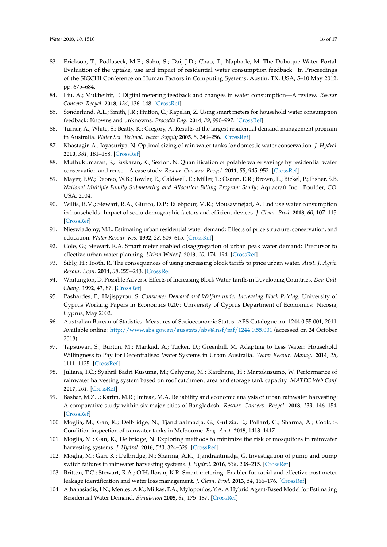- <span id="page-15-0"></span>83. Erickson, T.; Podlaseck, M.E.; Sahu, S.; Dai, J.D.; Chao, T.; Naphade, M. The Dubuque Water Portal: Evaluation of the uptake, use and impact of residential water consumption feedback. In Proceedings of the SIGCHI Conference on Human Factors in Computing Systems, Austin, TX, USA, 5–10 May 2012; pp. 675–684.
- <span id="page-15-1"></span>84. Liu, A.; Mukheibir, P. Digital metering feedback and changes in water consumption—A review. *Resour. Conserv. Recycl.* **2018**, *134*, 136–148. [\[CrossRef\]](http://dx.doi.org/10.1016/j.resconrec.2018.03.010)
- <span id="page-15-2"></span>85. Sønderlund, A.L.; Smith, J.R.; Hutton, C.; Kapelan, Z. Using smart meters for household water consumption feedback: Knowns and unknowns. *Procedia Eng.* **2014**, *89*, 990–997. [\[CrossRef\]](http://dx.doi.org/10.1016/j.proeng.2014.11.216)
- <span id="page-15-3"></span>86. Turner, A.; White, S.; Beatty, K.; Gregory, A. Results of the largest residential demand management program in Australia. *Water Sci. Technol. Water Supply* **2005**, *5*, 249–256. [\[CrossRef\]](http://dx.doi.org/10.2166/ws.2005.0106)
- <span id="page-15-4"></span>87. Khastagir, A.; Jayasuriya, N. Optimal sizing of rain water tanks for domestic water conservation. *J. Hydrol.* **2010**, *381*, 181–188. [\[CrossRef\]](http://dx.doi.org/10.1016/j.jhydrol.2009.11.040)
- <span id="page-15-5"></span>88. Muthukumaran, S.; Baskaran, K.; Sexton, N. Quantification of potable water savings by residential water conservation and reuse—A case study. *Resour. Conserv. Recycl.* **2011**, *55*, 945–952. [\[CrossRef\]](http://dx.doi.org/10.1016/j.resconrec.2011.04.013)
- <span id="page-15-6"></span>89. Mayer, P.W.; Deoreo, W.B.; Towler, E.; Caldwell, E.; Miller, T.; Osann, E.R.; Brown, E.; Bickel, P.; Fisher, S.B. *National Multiple Family Submetering and Allocation Billing Program Study*; Aquacraft Inc.: Boulder, CO, USA, 2004.
- <span id="page-15-7"></span>90. Willis, R.M.; Stewart, R.A.; Giurco, D.P.; Talebpour, M.R.; Mousavinejad, A. End use water consumption in households: Impact of socio-demographic factors and efficient devices. *J. Clean. Prod.* **2013**, *60*, 107–115. [\[CrossRef\]](http://dx.doi.org/10.1016/j.jclepro.2011.08.006)
- <span id="page-15-8"></span>91. Nieswiadomy, M.L. Estimating urban residential water demand: Effects of price structure, conservation, and education. *Water Resour. Res.* **1992**, *28*, 609–615. [\[CrossRef\]](http://dx.doi.org/10.1029/91WR02852)
- <span id="page-15-9"></span>92. Cole, G.; Stewart, R.A. Smart meter enabled disaggregation of urban peak water demand: Precursor to effective urban water planning. *Urban Water J.* **2013**, *10*, 174–194. [\[CrossRef\]](http://dx.doi.org/10.1080/1573062X.2012.716446)
- <span id="page-15-10"></span>93. Sibly, H.; Tooth, R. The consequences of using increasing block tariffs to price urban water. *Aust. J. Agric. Resour. Econ.* **2014**, *58*, 223–243. [\[CrossRef\]](http://dx.doi.org/10.1111/1467-8489.12032)
- <span id="page-15-11"></span>94. Whittington, D. Possible Adverse Effects of Increasing Block Water Tariffs in Developing Countries. *Dev. Cult. Chang.* **1992**, *41*, 87. [\[CrossRef\]](http://dx.doi.org/10.1086/451996)
- <span id="page-15-12"></span>95. Pashardes, P.; Hajispyrou, S. *Consumer Demand and Welfare under Increasing Block Pricing*; University of Cyprus Working Papers in Economics 0207; University of Cyprus Department of Economics: Nicosia, Cyprus, May 2002.
- <span id="page-15-13"></span>96. Australian Bureau of Statistics. Measures of Socioeconomic Status. ABS Catalogue no. 1244.0.55.001, 2011. Available online: <http://www.abs.gov.au/ausstats/abs@.nsf/mf/1244.0.55.001> (accessed on 24 October 2018).
- <span id="page-15-14"></span>97. Tapsuwan, S.; Burton, M.; Mankad, A.; Tucker, D.; Greenhill, M. Adapting to Less Water: Household Willingness to Pay for Decentralised Water Systems in Urban Australia. *Water Resour. Manag.* **2014**, *28*, 1111–1125. [\[CrossRef\]](http://dx.doi.org/10.1007/s11269-014-0543-0)
- <span id="page-15-15"></span>98. Juliana, I.C.; Syahril Badri Kusuma, M.; Cahyono, M.; Kardhana, H.; Martokusumo, W. Performance of rainwater harvesting system based on roof catchment area and storage tank capacity. *MATEC Web Conf.* **2017**, *101*. [\[CrossRef\]](http://dx.doi.org/10.1051/matecconf/201710105014)
- <span id="page-15-16"></span>99. Bashar, M.Z.I.; Karim, M.R.; Imteaz, M.A. Reliability and economic analysis of urban rainwater harvesting: A comparative study within six major cities of Bangladesh. *Resour. Conserv. Recycl.* **2018**, *133*, 146–154. [\[CrossRef\]](http://dx.doi.org/10.1016/j.resconrec.2018.01.025)
- <span id="page-15-17"></span>100. Moglia, M.; Gan, K.; Delbridge, N.; Tjandraatmadja, G.; Gulizia, E.; Pollard, C.; Sharma, A.; Cook, S. Condition inspection of rainwater tanks in Melbourne. *Eng. Aust.* **2015**, 1413–1417.
- 101. Moglia, M.; Gan, K.; Delbridge, N. Exploring methods to minimize the risk of mosquitoes in rainwater harvesting systems. *J. Hydrol.* **2016**, *543*, 324–329. [\[CrossRef\]](http://dx.doi.org/10.1016/j.jhydrol.2016.10.010)
- <span id="page-15-18"></span>102. Moglia, M.; Gan, K.; Delbridge, N.; Sharma, A.K.; Tjandraatmadja, G. Investigation of pump and pump switch failures in rainwater harvesting systems. *J. Hydrol.* **2016**, *538*, 208–215. [\[CrossRef\]](http://dx.doi.org/10.1016/j.jhydrol.2016.04.020)
- <span id="page-15-19"></span>103. Britton, T.C.; Stewart, R.A.; O'Halloran, K.R. Smart metering: Enabler for rapid and effective post meter leakage identification and water loss management. *J. Clean. Prod.* **2013**, *54*, 166–176. [\[CrossRef\]](http://dx.doi.org/10.1016/j.jclepro.2013.05.018)
- <span id="page-15-20"></span>104. Athanasiadis, I.N.; Mentes, A.K.; Mitkas, P.A.; Mylopoulos, Y.A. A Hybrid Agent-Based Model for Estimating Residential Water Demand. *Simulation* **2005**, *81*, 175–187. [\[CrossRef\]](http://dx.doi.org/10.1177/0037549705053172)